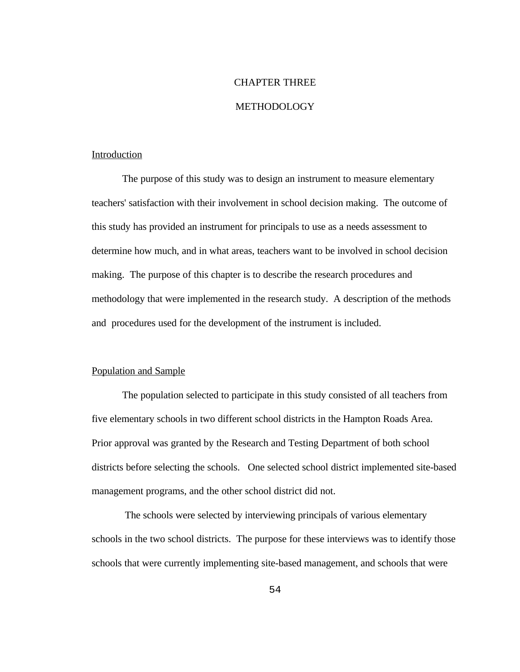#### CHAPTER THREE

#### METHODOLOGY

#### Introduction

The purpose of this study was to design an instrument to measure elementary teachers' satisfaction with their involvement in school decision making. The outcome of this study has provided an instrument for principals to use as a needs assessment to determine how much, and in what areas, teachers want to be involved in school decision making. The purpose of this chapter is to describe the research procedures and methodology that were implemented in the research study. A description of the methods and procedures used for the development of the instrument is included.

#### Population and Sample

The population selected to participate in this study consisted of all teachers from five elementary schools in two different school districts in the Hampton Roads Area. Prior approval was granted by the Research and Testing Department of both school districts before selecting the schools. One selected school district implemented site-based management programs, and the other school district did not.

 The schools were selected by interviewing principals of various elementary schools in the two school districts. The purpose for these interviews was to identify those schools that were currently implementing site-based management, and schools that were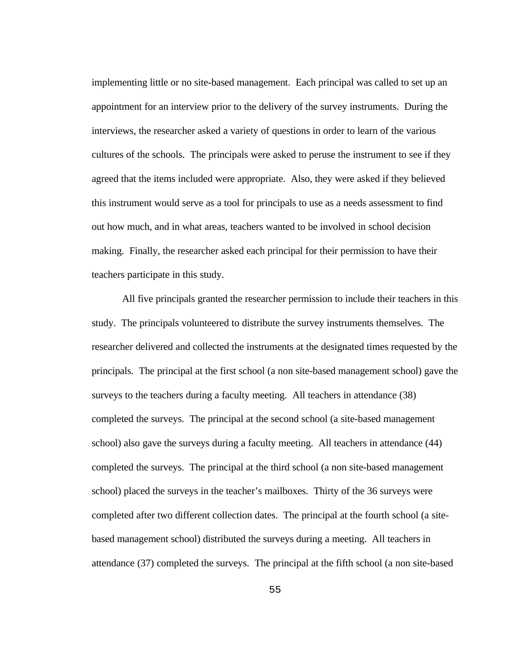implementing little or no site-based management. Each principal was called to set up an appointment for an interview prior to the delivery of the survey instruments. During the interviews, the researcher asked a variety of questions in order to learn of the various cultures of the schools. The principals were asked to peruse the instrument to see if they agreed that the items included were appropriate. Also, they were asked if they believed this instrument would serve as a tool for principals to use as a needs assessment to find out how much, and in what areas, teachers wanted to be involved in school decision making. Finally, the researcher asked each principal for their permission to have their teachers participate in this study.

All five principals granted the researcher permission to include their teachers in this study. The principals volunteered to distribute the survey instruments themselves. The researcher delivered and collected the instruments at the designated times requested by the principals. The principal at the first school (a non site-based management school) gave the surveys to the teachers during a faculty meeting. All teachers in attendance (38) completed the surveys. The principal at the second school (a site-based management school) also gave the surveys during a faculty meeting. All teachers in attendance (44) completed the surveys. The principal at the third school (a non site-based management school) placed the surveys in the teacher's mailboxes. Thirty of the 36 surveys were completed after two different collection dates. The principal at the fourth school (a sitebased management school) distributed the surveys during a meeting. All teachers in attendance (37) completed the surveys. The principal at the fifth school (a non site-based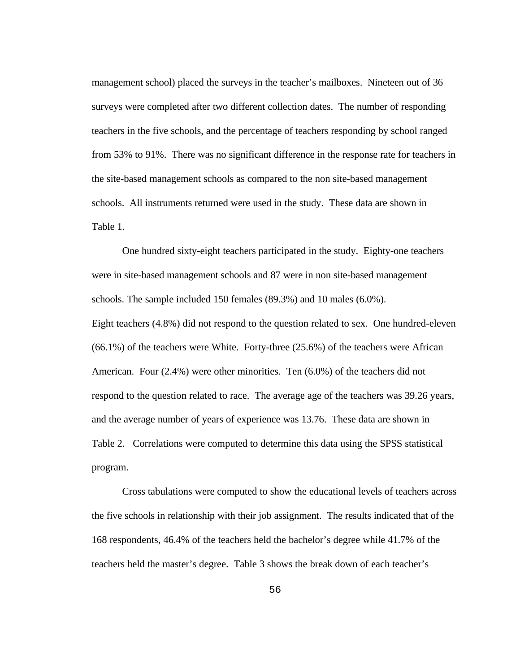management school) placed the surveys in the teacher's mailboxes. Nineteen out of 36 surveys were completed after two different collection dates. The number of responding teachers in the five schools, and the percentage of teachers responding by school ranged from 53% to 91%. There was no significant difference in the response rate for teachers in the site-based management schools as compared to the non site-based management schools. All instruments returned were used in the study. These data are shown in Table 1.

One hundred sixty-eight teachers participated in the study. Eighty-one teachers were in site-based management schools and 87 were in non site-based management schools. The sample included 150 females (89.3%) and 10 males (6.0%). Eight teachers (4.8%) did not respond to the question related to sex. One hundred-eleven (66.1%) of the teachers were White. Forty-three (25.6%) of the teachers were African American. Four (2.4%) were other minorities. Ten (6.0%) of the teachers did not respond to the question related to race. The average age of the teachers was 39.26 years, and the average number of years of experience was 13.76. These data are shown in Table 2. Correlations were computed to determine this data using the SPSS statistical program.

Cross tabulations were computed to show the educational levels of teachers across the five schools in relationship with their job assignment. The results indicated that of the 168 respondents, 46.4% of the teachers held the bachelor's degree while 41.7% of the teachers held the master's degree. Table 3 shows the break down of each teacher's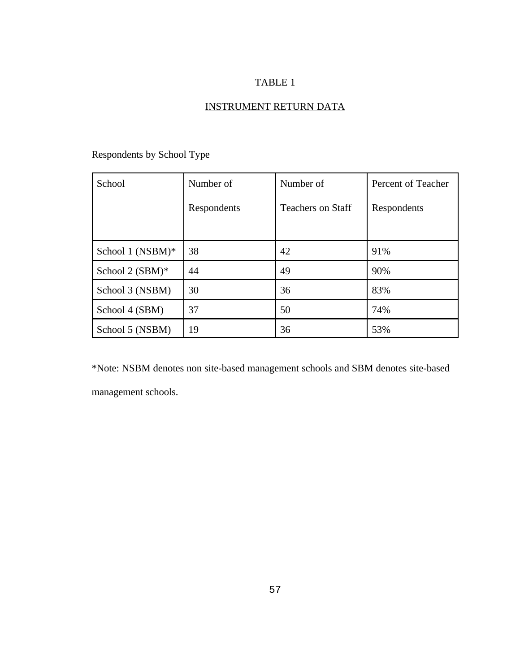## INSTRUMENT RETURN DATA

| School              | Number of   | Number of                | Percent of Teacher |
|---------------------|-------------|--------------------------|--------------------|
|                     | Respondents | <b>Teachers on Staff</b> | Respondents        |
|                     |             |                          |                    |
| School 1 (NSBM) $*$ | 38          | 42                       | 91%                |
| School $2$ (SBM)*   | 44          | 49                       | 90%                |
| School 3 (NSBM)     | 30          | 36                       | 83%                |
| School 4 (SBM)      | 37          | 50                       | 74%                |
| School 5 (NSBM)     | 19          | 36                       | 53%                |

## Respondents by School Type

\*Note: NSBM denotes non site-based management schools and SBM denotes site-based management schools.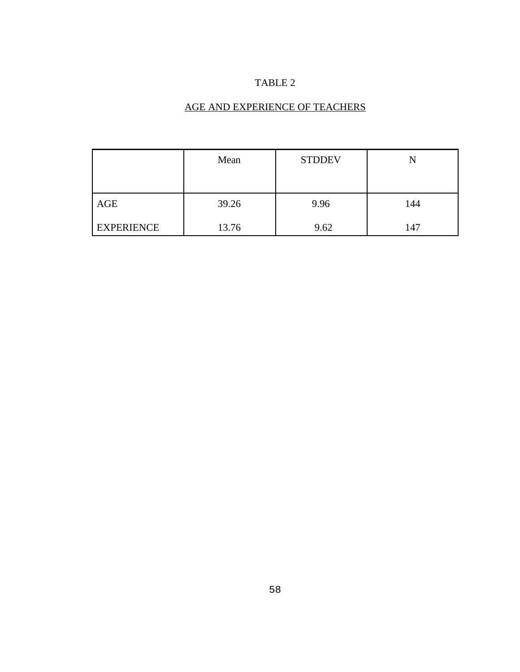## AGE AND EXPERIENCE OF TEACHERS

|                   | Mean  | <b>STDDEV</b> |     |
|-------------------|-------|---------------|-----|
| AGE               | 39.26 | 9.96          | 144 |
| <b>EXPERIENCE</b> | 13.76 | 9.62          | 147 |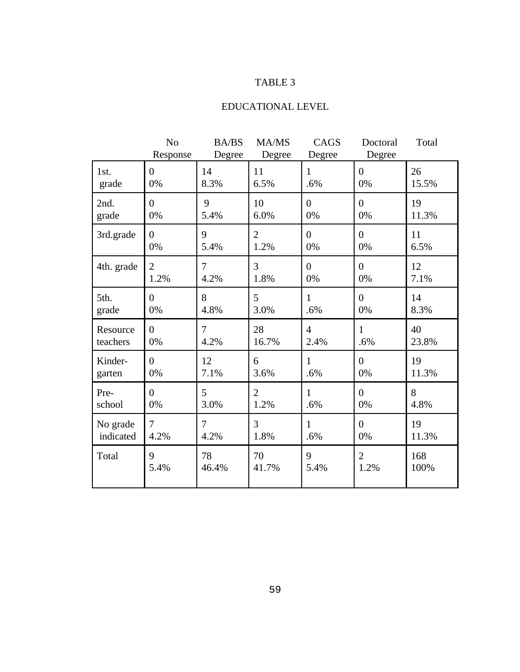## EDUCATIONAL LEVEL

|            | N <sub>o</sub><br>Response | <b>BA/BS</b><br>Degree | MA/MS<br>Degree | CAGS<br>Degree | Doctoral<br>Degree | Total |
|------------|----------------------------|------------------------|-----------------|----------------|--------------------|-------|
| 1st.       | $\overline{0}$             | 14                     | 11              | $\mathbf{1}$   | $\overline{0}$     | 26    |
| grade      | 0%                         | 8.3%                   | 6.5%            | .6%            | 0%                 | 15.5% |
| 2nd.       | $\overline{0}$             | 9                      | 10              | $\overline{0}$ | $\overline{0}$     | 19    |
| grade      | 0%                         | 5.4%                   | 6.0%            | 0%             | 0%                 | 11.3% |
| 3rd.grade  | $\overline{0}$             | 9                      | $\overline{2}$  | $\overline{0}$ | $\overline{0}$     | 11    |
|            | 0%                         | 5.4%                   | 1.2%            | 0%             | 0%                 | 6.5%  |
| 4th. grade | $\overline{2}$             | $\overline{7}$         | 3               | $\overline{0}$ | $\overline{0}$     | 12    |
|            | 1.2%                       | 4.2%                   | 1.8%            | 0%             | 0%                 | 7.1%  |
| 5th.       | $\overline{0}$             | 8                      | 5               | 1              | $\overline{0}$     | 14    |
| grade      | 0%                         | 4.8%                   | 3.0%            | .6%            | 0%                 | 8.3%  |
| Resource   | $\overline{0}$             | $\overline{7}$         | 28              | $\overline{4}$ | $\mathbf{1}$       | 40    |
| teachers   | 0%                         | 4.2%                   | 16.7%           | 2.4%           | .6%                | 23.8% |
| Kinder-    | $\overline{0}$             | 12                     | 6               | $\mathbf{1}$   | $\overline{0}$     | 19    |
| garten     | 0%                         | 7.1%                   | 3.6%            | .6%            | 0%                 | 11.3% |
| Pre-       | $\overline{0}$             | 5                      | $\overline{2}$  | $\mathbf{1}$   | $\overline{0}$     | 8     |
| school     | 0%                         | 3.0%                   | 1.2%            | .6%            | 0%                 | 4.8%  |
| No grade   | $\overline{7}$             | $\overline{7}$         | 3               | 1              | $\theta$           | 19    |
| indicated  | 4.2%                       | 4.2%                   | 1.8%            | .6%            | 0%                 | 11.3% |
| Total      | 9                          | 78                     | 70              | 9              | $\overline{2}$     | 168   |
|            | 5.4%                       | 46.4%                  | 41.7%           | 5.4%           | 1.2%               | 100%  |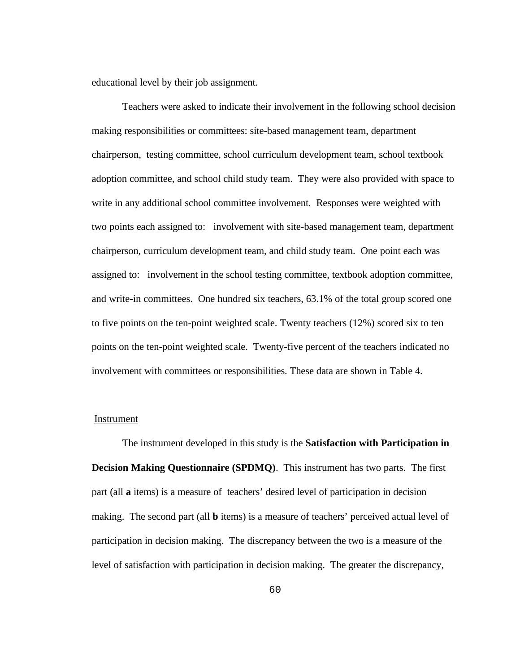educational level by their job assignment.

Teachers were asked to indicate their involvement in the following school decision making responsibilities or committees: site-based management team, department chairperson, testing committee, school curriculum development team, school textbook adoption committee, and school child study team. They were also provided with space to write in any additional school committee involvement. Responses were weighted with two points each assigned to: involvement with site-based management team, department chairperson, curriculum development team, and child study team. One point each was assigned to: involvement in the school testing committee, textbook adoption committee, and write-in committees. One hundred six teachers, 63.1% of the total group scored one to five points on the ten-point weighted scale. Twenty teachers (12%) scored six to ten points on the ten-point weighted scale. Twenty-five percent of the teachers indicated no involvement with committees or responsibilities. These data are shown in Table 4.

#### **Instrument**

The instrument developed in this study is the **Satisfaction with Participation in Decision Making Questionnaire (SPDMQ)**. This instrument has two parts. The first part (all **a** items) is a measure of teachers' desired level of participation in decision making. The second part (all **b** items) is a measure of teachers' perceived actual level of participation in decision making. The discrepancy between the two is a measure of the level of satisfaction with participation in decision making. The greater the discrepancy,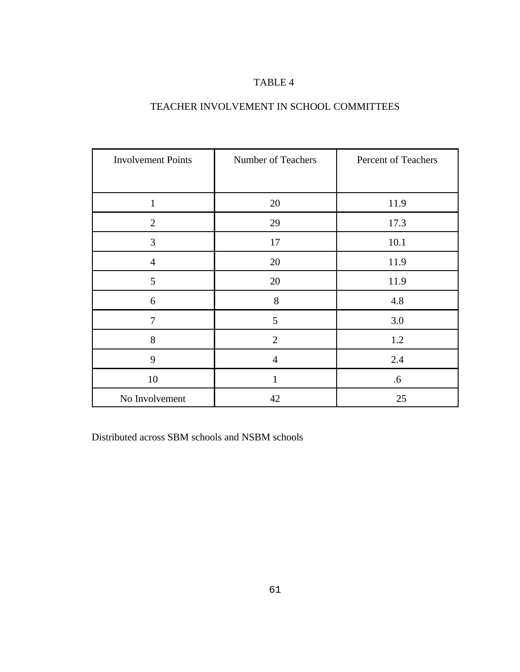#### TEACHER INVOLVEMENT IN SCHOOL COMMITTEES

| <b>Involvement Points</b> | Number of Teachers | Percent of Teachers |
|---------------------------|--------------------|---------------------|
|                           |                    |                     |
| $\mathbf{1}$              | 20                 | 11.9                |
| $\overline{2}$            | 29                 | 17.3                |
| 3                         | 17                 | 10.1                |
| $\overline{4}$            | 20                 | 11.9                |
| 5                         | 20                 | 11.9                |
| $\boldsymbol{6}$          | 8                  | 4.8                 |
| 7                         | 5                  | 3.0                 |
| 8                         | $\overline{2}$     | 1.2                 |
| 9                         | $\overline{4}$     | 2.4                 |
| 10                        | 1                  | .6                  |
| No Involvement            | 42                 | 25                  |

Distributed across SBM schools and NSBM schools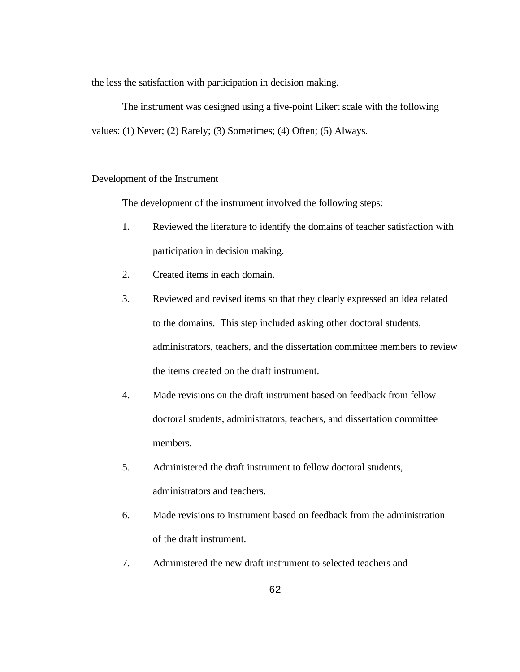the less the satisfaction with participation in decision making.

The instrument was designed using a five-point Likert scale with the following values: (1) Never; (2) Rarely; (3) Sometimes; (4) Often; (5) Always.

#### Development of the Instrument

The development of the instrument involved the following steps:

- 1. Reviewed the literature to identify the domains of teacher satisfaction with participation in decision making.
- 2. Created items in each domain.
- 3. Reviewed and revised items so that they clearly expressed an idea related to the domains. This step included asking other doctoral students, administrators, teachers, and the dissertation committee members to review the items created on the draft instrument.
- 4. Made revisions on the draft instrument based on feedback from fellow doctoral students, administrators, teachers, and dissertation committee members.
- 5. Administered the draft instrument to fellow doctoral students, administrators and teachers.
- 6. Made revisions to instrument based on feedback from the administration of the draft instrument.
- 7. Administered the new draft instrument to selected teachers and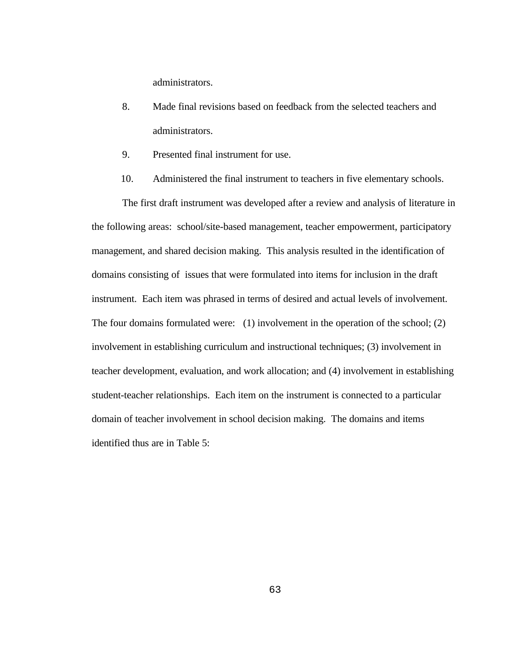administrators.

- 8. Made final revisions based on feedback from the selected teachers and administrators.
- 9. Presented final instrument for use.
- 10. Administered the final instrument to teachers in five elementary schools.

The first draft instrument was developed after a review and analysis of literature in the following areas: school/site-based management, teacher empowerment, participatory management, and shared decision making. This analysis resulted in the identification of domains consisting of issues that were formulated into items for inclusion in the draft instrument. Each item was phrased in terms of desired and actual levels of involvement. The four domains formulated were: (1) involvement in the operation of the school; (2) involvement in establishing curriculum and instructional techniques; (3) involvement in teacher development, evaluation, and work allocation; and (4) involvement in establishing student-teacher relationships. Each item on the instrument is connected to a particular domain of teacher involvement in school decision making. The domains and items identified thus are in Table 5: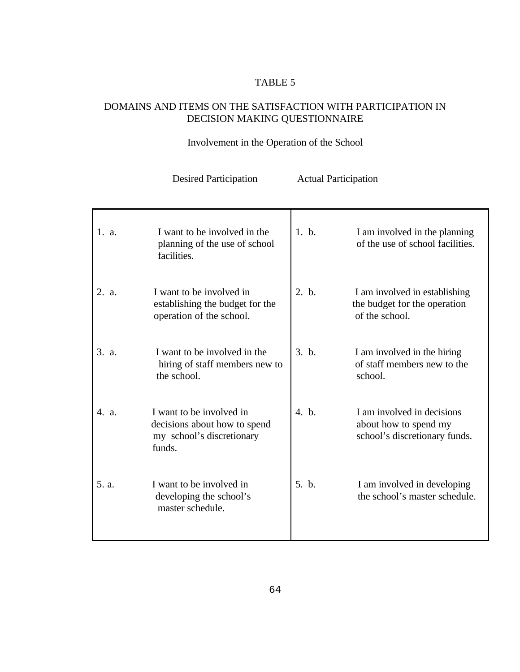### DOMAINS AND ITEMS ON THE SATISFACTION WITH PARTICIPATION IN DECISION MAKING QUESTIONNAIRE

## Involvement in the Operation of the School

| 1. a. | I want to be involved in the<br>planning of the use of school<br>facilities.                    | 1. b. | I am involved in the planning<br>of the use of school facilities.                    |
|-------|-------------------------------------------------------------------------------------------------|-------|--------------------------------------------------------------------------------------|
| 2. a. | I want to be involved in<br>establishing the budget for the<br>operation of the school.         | 2. b. | I am involved in establishing<br>the budget for the operation<br>of the school.      |
| 3. a. | I want to be involved in the<br>hiring of staff members new to<br>the school.                   | 3. h. | I am involved in the hiring<br>of staff members new to the<br>school.                |
| 4. a. | I want to be involved in<br>decisions about how to spend<br>my school's discretionary<br>funds. | 4. b. | I am involved in decisions<br>about how to spend my<br>school's discretionary funds. |
| 5. a. | I want to be involved in<br>developing the school's<br>master schedule.                         | 5. b. | I am involved in developing<br>the school's master schedule.                         |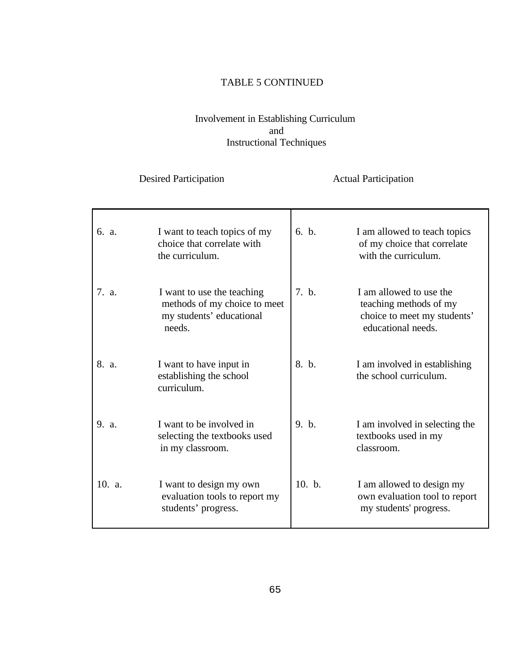#### TABLE 5 CONTINUED

#### Involvement in Establishing Curriculum and Instructional Techniques

| 6. a.  | I want to teach topics of my<br>choice that correlate with<br>the curriculum.                    | 6. h.  | I am allowed to teach topics<br>of my choice that correlate<br>with the curriculum.                    |
|--------|--------------------------------------------------------------------------------------------------|--------|--------------------------------------------------------------------------------------------------------|
| 7. a.  | I want to use the teaching<br>methods of my choice to meet<br>my students' educational<br>needs. | 7. b.  | I am allowed to use the<br>teaching methods of my<br>choice to meet my students'<br>educational needs. |
| 8. a.  | I want to have input in<br>establishing the school<br>curriculum.                                | 8. b.  | I am involved in establishing<br>the school curriculum.                                                |
| 9. a.  | I want to be involved in<br>selecting the textbooks used<br>in my classroom.                     | 9. b.  | I am involved in selecting the<br>textbooks used in my<br>classroom.                                   |
| 10. a. | I want to design my own<br>evaluation tools to report my<br>students' progress.                  | 10. b. | I am allowed to design my<br>own evaluation tool to report<br>my students' progress.                   |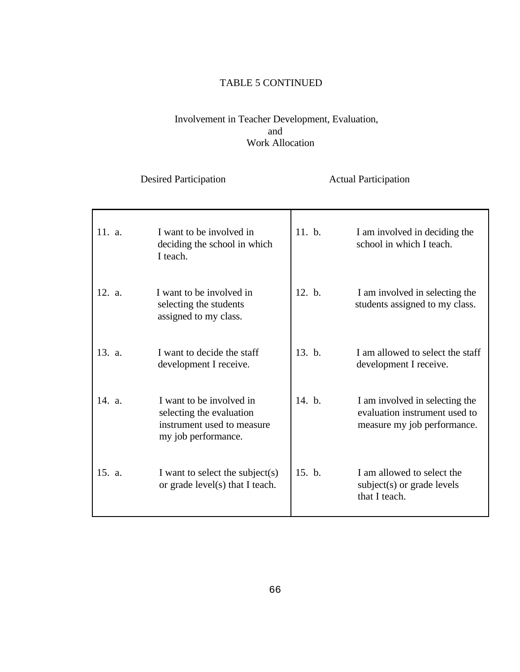### TABLE 5 CONTINUED

#### Involvement in Teacher Development, Evaluation, and Work Allocation

| 11. a. | I want to be involved in<br>deciding the school in which<br>I teach.                                      | 11. b. | I am involved in deciding the<br>school in which I teach.                                      |
|--------|-----------------------------------------------------------------------------------------------------------|--------|------------------------------------------------------------------------------------------------|
| 12. a. | I want to be involved in<br>selecting the students<br>assigned to my class.                               | 12. b. | I am involved in selecting the<br>students assigned to my class.                               |
| 13. a. | I want to decide the staff<br>development I receive.                                                      | 13. b. | I am allowed to select the staff<br>development I receive.                                     |
| 14. a. | I want to be involved in<br>selecting the evaluation<br>instrument used to measure<br>my job performance. | 14. b. | I am involved in selecting the<br>evaluation instrument used to<br>measure my job performance. |
| 15. a. | I want to select the subject(s)<br>or grade level(s) that I teach.                                        | 15. b. | I am allowed to select the<br>subject(s) or grade levels<br>that I teach.                      |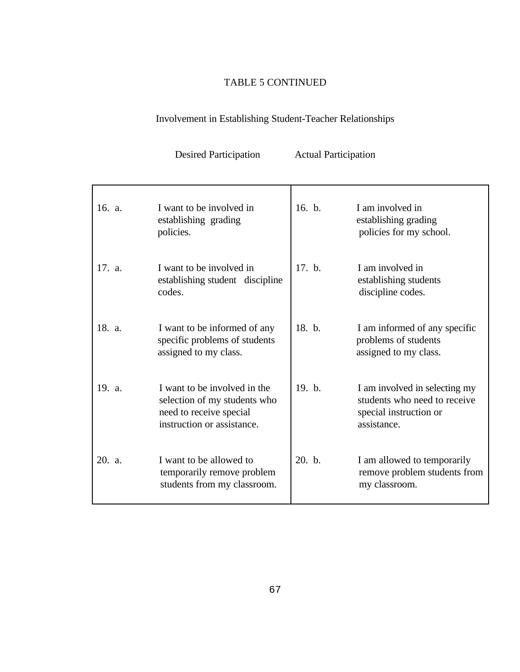## TABLE 5 CONTINUED

# Involvement in Establishing Student-Teacher Relationships

| 16. a. | I want to be involved in<br>establishing grading<br>policies.                                                         | 16. b. | I am involved in<br>establishing grading<br>policies for my school.                                    |
|--------|-----------------------------------------------------------------------------------------------------------------------|--------|--------------------------------------------------------------------------------------------------------|
| 17. a. | I want to be involved in<br>establishing student discipline<br>codes.                                                 | 17. b. | I am involved in<br>establishing students<br>discipline codes.                                         |
| 18. a. | I want to be informed of any<br>specific problems of students<br>assigned to my class.                                | 18. b. | I am informed of any specific<br>problems of students<br>assigned to my class.                         |
| 19. a. | I want to be involved in the<br>selection of my students who<br>need to receive special<br>instruction or assistance. | 19. b. | I am involved in selecting my<br>students who need to receive<br>special instruction or<br>assistance. |
| 20. a. | I want to be allowed to<br>temporarily remove problem<br>students from my classroom.                                  | 20. b. | I am allowed to temporarily<br>remove problem students from<br>my classroom.                           |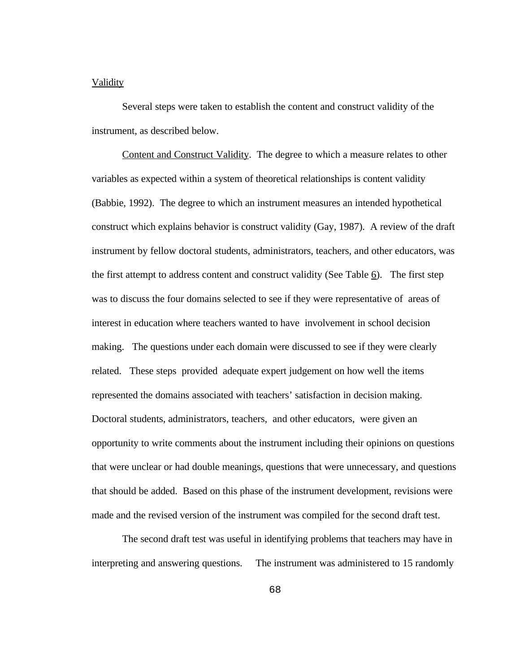#### Validity

Several steps were taken to establish the content and construct validity of the instrument, as described below.

Content and Construct Validity. The degree to which a measure relates to other variables as expected within a system of theoretical relationships is content validity (Babbie, 1992). The degree to which an instrument measures an intended hypothetical construct which explains behavior is construct validity (Gay, 1987). A review of the draft instrument by fellow doctoral students, administrators, teachers, and other educators, was the first attempt to address content and construct validity (See Table  $6$ ). The first step was to discuss the four domains selected to see if they were representative of areas of interest in education where teachers wanted to have involvement in school decision making. The questions under each domain were discussed to see if they were clearly related. These steps provided adequate expert judgement on how well the items represented the domains associated with teachers' satisfaction in decision making. Doctoral students, administrators, teachers, and other educators, were given an opportunity to write comments about the instrument including their opinions on questions that were unclear or had double meanings, questions that were unnecessary, and questions that should be added. Based on this phase of the instrument development, revisions were made and the revised version of the instrument was compiled for the second draft test.

The second draft test was useful in identifying problems that teachers may have in interpreting and answering questions. The instrument was administered to 15 randomly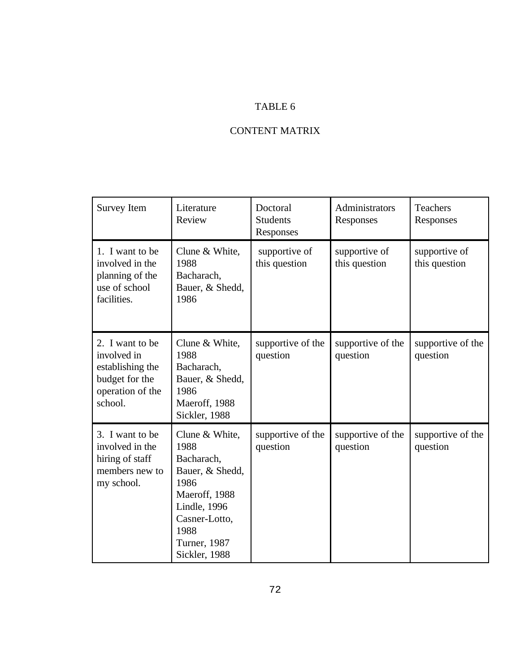## CONTENT MATRIX

| Survey Item                                                                                         | Literature<br>Review                                                                                                                                                       | Doctoral<br><b>Students</b><br>Responses | Administrators<br>Responses    | Teachers<br>Responses          |
|-----------------------------------------------------------------------------------------------------|----------------------------------------------------------------------------------------------------------------------------------------------------------------------------|------------------------------------------|--------------------------------|--------------------------------|
| 1. I want to be<br>involved in the<br>planning of the<br>use of school<br>facilities.               | Clune & White,<br>1988<br>Bacharach,<br>Bauer, & Shedd,<br>1986                                                                                                            | supportive of<br>this question           | supportive of<br>this question | supportive of<br>this question |
| 2. I want to be<br>involved in<br>establishing the<br>budget for the<br>operation of the<br>school. | Clune & White,<br>1988<br>Bacharach,<br>Bauer, & Shedd,<br>1986<br>Maeroff, 1988<br>Sickler, 1988                                                                          | supportive of the<br>question            | supportive of the<br>question  | supportive of the<br>question  |
| 3. I want to be<br>involved in the<br>hiring of staff<br>members new to<br>my school.               | Clune & White,<br>1988<br>Bacharach,<br>Bauer, & Shedd,<br>1986<br>Maeroff, 1988<br><b>Lindle</b> , 1996<br>Casner-Lotto,<br>1988<br><b>Turner</b> , 1987<br>Sickler, 1988 | supportive of the<br>question            | supportive of the<br>question  | supportive of the<br>question  |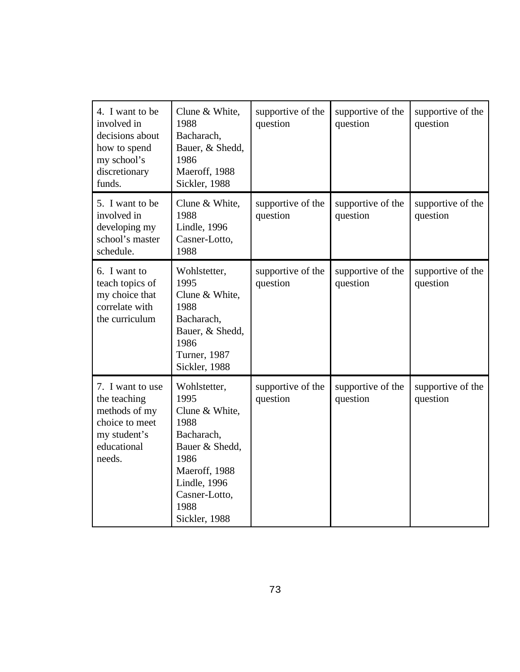| 4. I want to be<br>involved in<br>decisions about<br>how to spend<br>my school's<br>discretionary<br>funds.  | Clune & White,<br>1988<br>Bacharach,<br>Bauer, & Shedd,<br>1986<br>Maeroff, 1988<br>Sickler, 1988                                                                         | supportive of the<br>question | supportive of the<br>question | supportive of the<br>question |
|--------------------------------------------------------------------------------------------------------------|---------------------------------------------------------------------------------------------------------------------------------------------------------------------------|-------------------------------|-------------------------------|-------------------------------|
| 5. I want to be<br>involved in<br>developing my<br>school's master<br>schedule.                              | Clune & White,<br>1988<br><b>Lindle</b> , 1996<br>Casner-Lotto,<br>1988                                                                                                   | supportive of the<br>question | supportive of the<br>question | supportive of the<br>question |
| 6. I want to<br>teach topics of<br>my choice that<br>correlate with<br>the curriculum                        | Wohlstetter,<br>1995<br>Clune & White,<br>1988<br>Bacharach,<br>Bauer, & Shedd,<br>1986<br><b>Turner</b> , 1987<br>Sickler, 1988                                          | supportive of the<br>question | supportive of the<br>question | supportive of the<br>question |
| 7. I want to use<br>the teaching<br>methods of my<br>choice to meet<br>my student's<br>educational<br>needs. | Wohlstetter,<br>1995<br>Clune & White,<br>1988<br>Bacharach,<br>Bauer & Shedd,<br>1986<br>Maeroff, 1988<br><b>Lindle</b> , 1996<br>Casner-Lotto,<br>1988<br>Sickler, 1988 | supportive of the<br>question | supportive of the<br>question | supportive of the<br>question |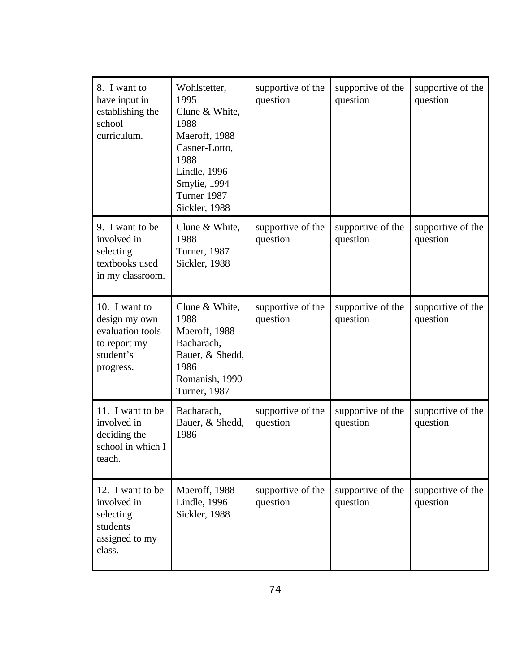| 8. I want to<br>have input in<br>establishing the<br>school<br>curriculum.                   | Wohlstetter,<br>1995<br>Clune & White,<br>1988<br>Maeroff, 1988<br>Casner-Lotto,<br>1988<br><b>Lindle</b> , 1996<br>Smylie, 1994<br>Turner 1987<br>Sickler, 1988 | supportive of the<br>question | supportive of the<br>question | supportive of the<br>question |
|----------------------------------------------------------------------------------------------|------------------------------------------------------------------------------------------------------------------------------------------------------------------|-------------------------------|-------------------------------|-------------------------------|
| 9. I want to be<br>involved in<br>selecting<br>textbooks used<br>in my classroom.            | Clune & White,<br>1988<br>Turner, 1987<br>Sickler, 1988                                                                                                          | supportive of the<br>question | supportive of the<br>question | supportive of the<br>question |
| 10. I want to<br>design my own<br>evaluation tools<br>to report my<br>student's<br>progress. | Clune & White,<br>1988<br>Maeroff, 1988<br>Bacharach,<br>Bauer, & Shedd,<br>1986<br>Romanish, 1990<br><b>Turner</b> , 1987                                       | supportive of the<br>question | supportive of the<br>question | supportive of the<br>question |
| 11. I want to be<br>involved in<br>deciding the<br>school in which I<br>teach.               | Bacharach,<br>Bauer, & Shedd,<br>1986                                                                                                                            | supportive of the<br>question | supportive of the<br>question | supportive of the<br>question |
| 12. I want to be<br>involved in<br>selecting<br>students<br>assigned to my<br>class.         | Maeroff, 1988<br><b>Lindle</b> , 1996<br>Sickler, 1988                                                                                                           | supportive of the<br>question | supportive of the<br>question | supportive of the<br>question |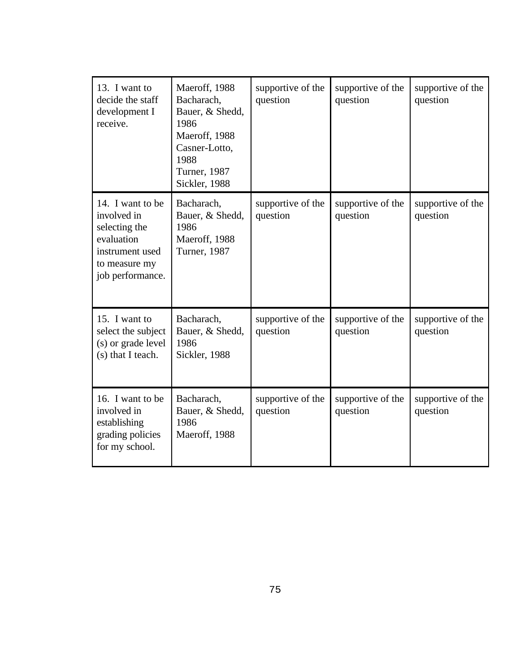| 13. I want to<br>decide the staff<br>development I<br>receive.                                                         | Maeroff, 1988<br>Bacharach,<br>Bauer, & Shedd,<br>1986<br>Maeroff, 1988<br>Casner-Lotto,<br>1988<br><b>Turner</b> , 1987<br>Sickler, 1988 | supportive of the<br>question | supportive of the<br>question | supportive of the<br>question |
|------------------------------------------------------------------------------------------------------------------------|-------------------------------------------------------------------------------------------------------------------------------------------|-------------------------------|-------------------------------|-------------------------------|
| 14. I want to be<br>involved in<br>selecting the<br>evaluation<br>instrument used<br>to measure my<br>job performance. | Bacharach,<br>Bauer, & Shedd,<br>1986<br>Maeroff, 1988<br>Turner, 1987                                                                    | supportive of the<br>question | supportive of the<br>question | supportive of the<br>question |
| 15. I want to<br>select the subject<br>(s) or grade level<br>(s) that I teach.                                         | Bacharach,<br>Bauer, & Shedd,<br>1986<br>Sickler, 1988                                                                                    | supportive of the<br>question | supportive of the<br>question | supportive of the<br>question |
| 16. I want to be<br>involved in<br>establishing<br>grading policies<br>for my school.                                  | Bacharach,<br>Bauer, & Shedd,<br>1986<br>Maeroff, 1988                                                                                    | supportive of the<br>question | supportive of the<br>question | supportive of the<br>question |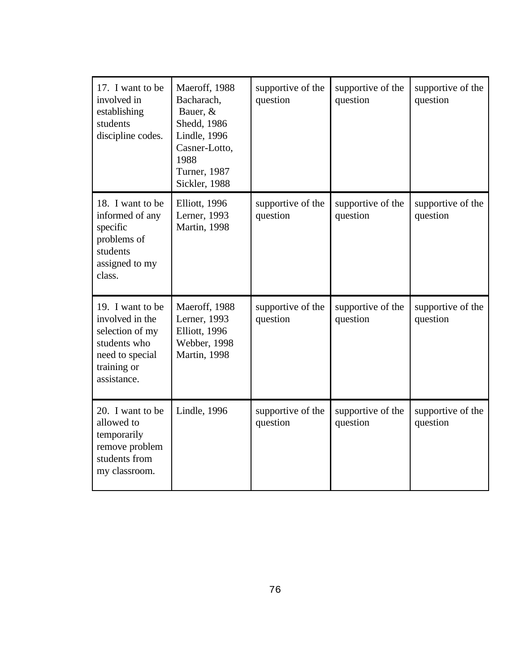| 17. I want to be<br>involved in<br>establishing<br>students<br>discipline codes.                                        | Maeroff, 1988<br>Bacharach,<br>Bauer, &<br>Shedd, 1986<br><b>Lindle</b> , 1996<br>Casner-Lotto,<br>1988<br>Turner, 1987<br>Sickler, 1988 | supportive of the<br>question | supportive of the<br>question | supportive of the<br>question |
|-------------------------------------------------------------------------------------------------------------------------|------------------------------------------------------------------------------------------------------------------------------------------|-------------------------------|-------------------------------|-------------------------------|
| 18. I want to be<br>informed of any<br>specific<br>problems of<br>students<br>assigned to my<br>class.                  | Elliott, 1996<br>Lerner, 1993<br><b>Martin</b> , 1998                                                                                    | supportive of the<br>question | supportive of the<br>question | supportive of the<br>question |
| 19. I want to be<br>involved in the<br>selection of my<br>students who<br>need to special<br>training or<br>assistance. | Maeroff, 1988<br>Lerner, 1993<br>Elliott, 1996<br><b>Webber</b> , 1998<br><b>Martin</b> , 1998                                           | supportive of the<br>question | supportive of the<br>question | supportive of the<br>question |
| 20. I want to be<br>allowed to<br>temporarily<br>remove problem<br>students from<br>my classroom.                       | Lindle, 1996                                                                                                                             | supportive of the<br>question | supportive of the<br>question | supportive of the<br>question |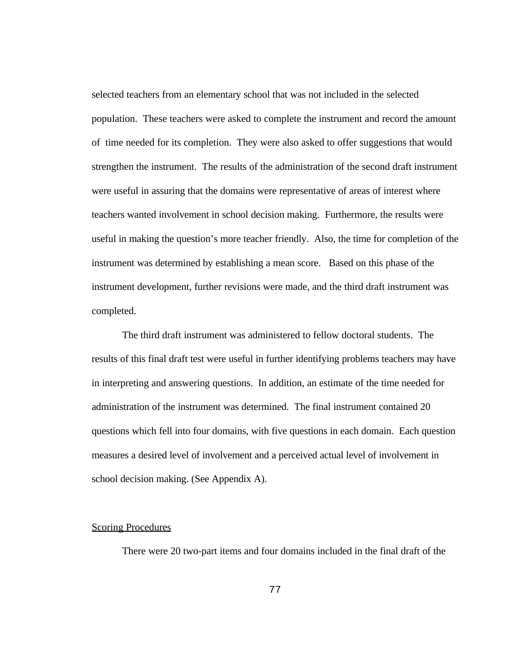selected teachers from an elementary school that was not included in the selected population. These teachers were asked to complete the instrument and record the amount of time needed for its completion. They were also asked to offer suggestions that would strengthen the instrument. The results of the administration of the second draft instrument were useful in assuring that the domains were representative of areas of interest where teachers wanted involvement in school decision making. Furthermore, the results were useful in making the question's more teacher friendly. Also, the time for completion of the instrument was determined by establishing a mean score. Based on this phase of the instrument development, further revisions were made, and the third draft instrument was completed.

The third draft instrument was administered to fellow doctoral students. The results of this final draft test were useful in further identifying problems teachers may have in interpreting and answering questions. In addition, an estimate of the time needed for administration of the instrument was determined. The final instrument contained 20 questions which fell into four domains, with five questions in each domain. Each question measures a desired level of involvement and a perceived actual level of involvement in school decision making. (See Appendix A).

#### **Scoring Procedures**

There were 20 two-part items and four domains included in the final draft of the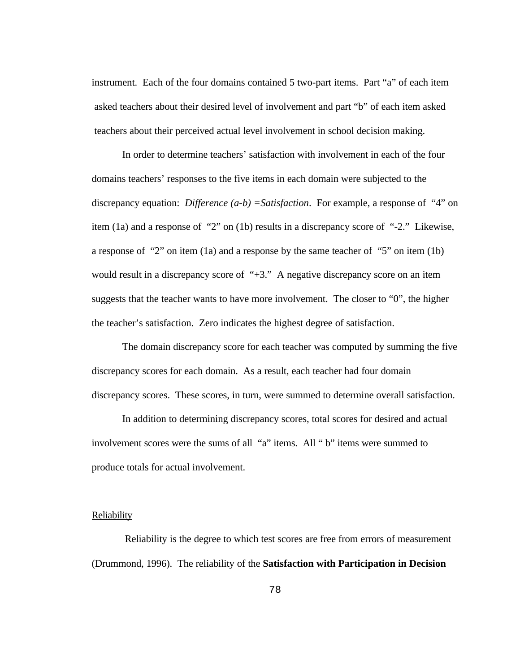instrument. Each of the four domains contained 5 two-part items. Part "a" of each item asked teachers about their desired level of involvement and part "b" of each item asked teachers about their perceived actual level involvement in school decision making.

In order to determine teachers' satisfaction with involvement in each of the four domains teachers' responses to the five items in each domain were subjected to the discrepancy equation: *Difference (a-b) =Satisfaction*. For example, a response of "4" on item (1a) and a response of "2" on (1b) results in a discrepancy score of "-2." Likewise, a response of "2" on item (1a) and a response by the same teacher of "5" on item (1b) would result in a discrepancy score of "+3." A negative discrepancy score on an item suggests that the teacher wants to have more involvement. The closer to "0", the higher the teacher's satisfaction. Zero indicates the highest degree of satisfaction.

The domain discrepancy score for each teacher was computed by summing the five discrepancy scores for each domain. As a result, each teacher had four domain discrepancy scores. These scores, in turn, were summed to determine overall satisfaction.

In addition to determining discrepancy scores, total scores for desired and actual involvement scores were the sums of all "a" items. All " b" items were summed to produce totals for actual involvement.

#### **Reliability**

 Reliability is the degree to which test scores are free from errors of measurement (Drummond, 1996). The reliability of the **Satisfaction with Participation in Decision**